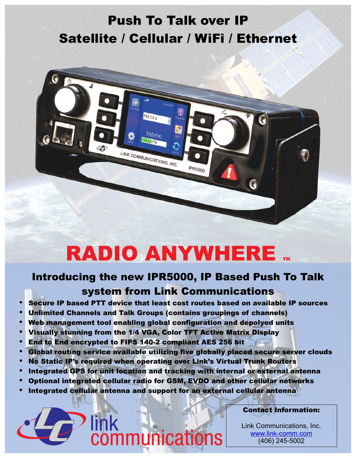## Push To Talk over IP Satellite / Cellular / WiFi / Ethernet



# RADIO ANYWHERE TM

## Introducing the new IPR5000, IP Based Push To Talk system from Link Communications

- Secure IP based PTT device that least cost routes based on available IP sources
- Unlimited Channels and Talk Groups (contains groupings of channels)
- Web management tool enabling global configuration and depolyed units
- Visually stunning from the 1/4 VGA, Color TFT Active Matrix Display
- End to End encrypted to FIPS 140-2 compliant AES 256 bit
- Global routing service available utilizing five globally placed secure server clouds
- No Static IP's required when operating over Link's Virtual Trunk Routers
- Integrated GPS for unit location and tracking with internal or external antenna
- Optional integrated cellular radio for GSM, EVDO and other cellular networks
- Integrated cellular antenna and support for an external cellular antenna

communications

#### Contact Information:

Link Communications, Inc. (406) 245-5002 www.link-comm.com